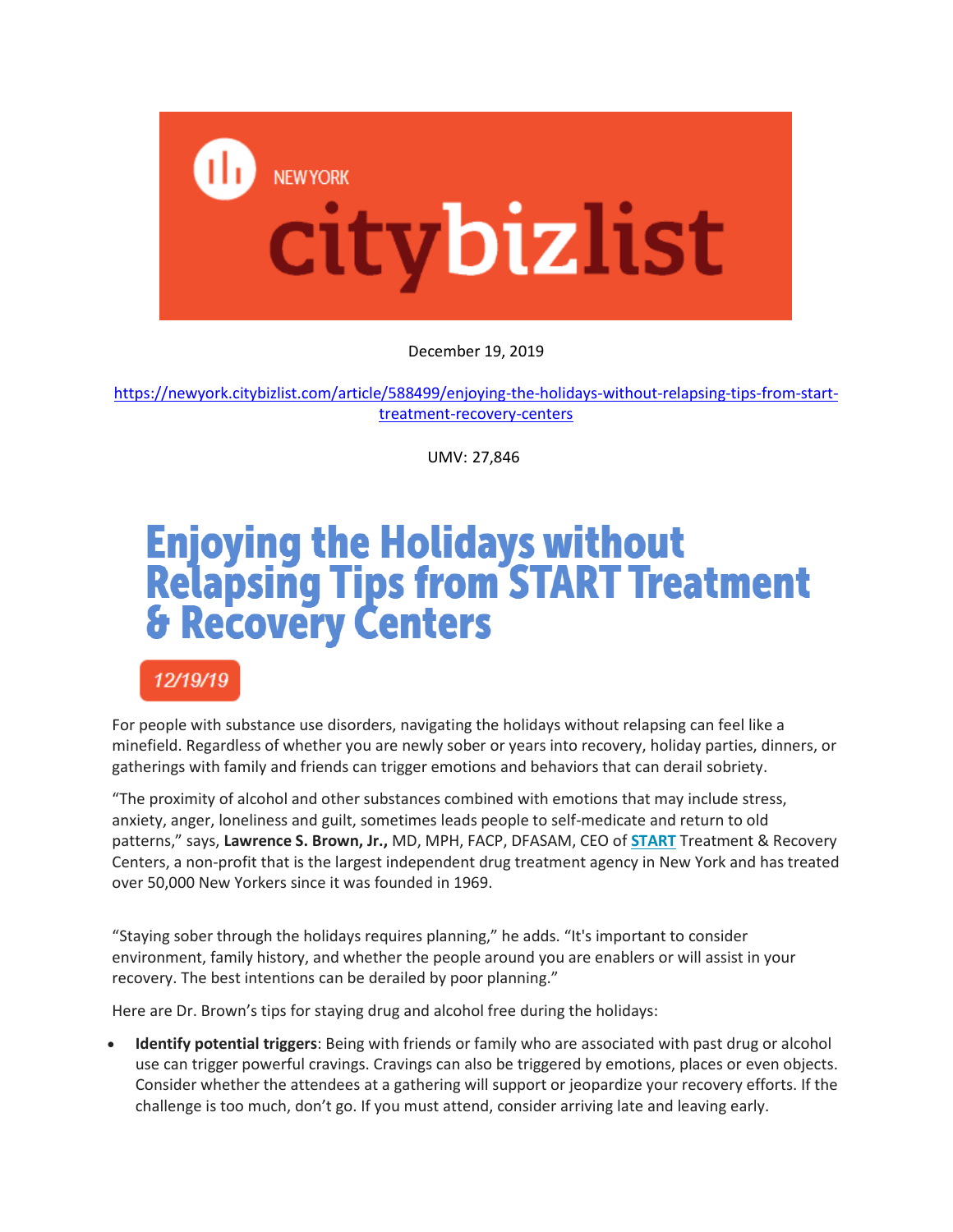

December 19, 2019

[https://newyork.citybizlist.com/article/588499/enjoying-the-holidays-without-relapsing-tips-from-start](https://newyork.citybizlist.com/article/588499/enjoying-the-holidays-without-relapsing-tips-from-start-treatment-recovery-centers)[treatment-recovery-centers](https://newyork.citybizlist.com/article/588499/enjoying-the-holidays-without-relapsing-tips-from-start-treatment-recovery-centers)

UMV: 27,846

## **Enjoying the Holidays without<br>Relapsing Tips from START Treatment<br>& Recovery Centers**

12/19/19

For people with substance use disorders, navigating the holidays without relapsing can feel like a minefield. Regardless of whether you are newly sober or years into recovery, holiday parties, dinners, or gatherings with family and friends can trigger emotions and behaviors that can derail sobriety.

"The proximity of alcohol and other substances combined with emotions that may include stress, anxiety, anger, loneliness and guilt, sometimes leads people to self-medicate and return to old patterns," says, **Lawrence S. Brown, Jr.,** MD, MPH, FACP, DFASAM, CEO of **[START](http://www.startny.org/)** Treatment & Recovery Centers, a non-profit that is the largest independent drug treatment agency in New York and has treated over 50,000 New Yorkers since it was founded in 1969.

"Staying sober through the holidays requires planning," he adds. "It's important to consider environment, family history, and whether the people around you are enablers or will assist in your recovery. The best intentions can be derailed by poor planning."

Here are Dr. Brown's tips for staying drug and alcohol free during the holidays:

 **Identify potential triggers**: Being with friends or family who are associated with past drug or alcohol use can trigger powerful cravings. Cravings can also be triggered by emotions, places or even objects. Consider whether the attendees at a gathering will support or jeopardize your recovery efforts. If the challenge is too much, don't go. If you must attend, consider arriving late and leaving early.